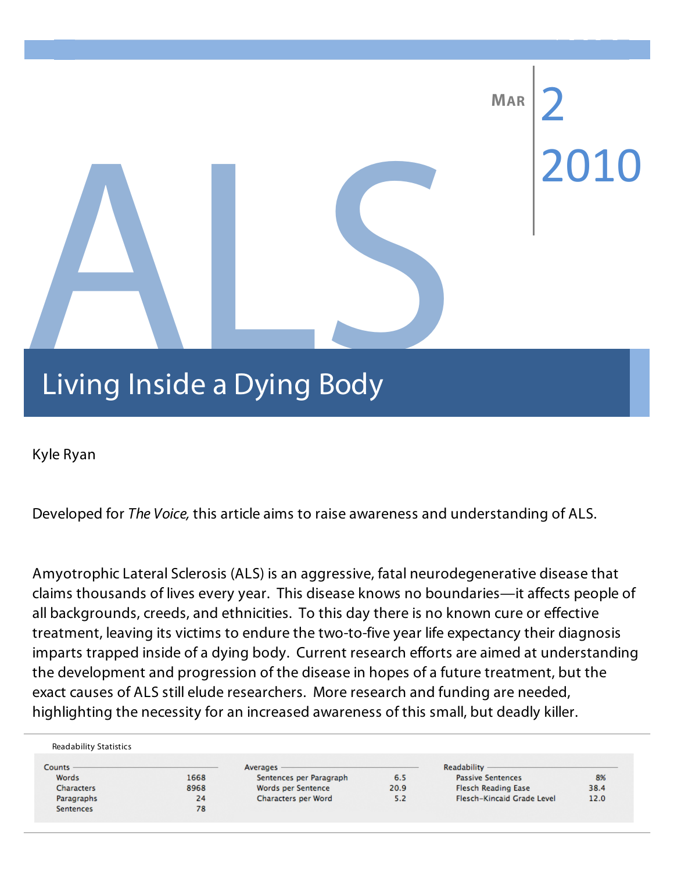# Raining Inside a Dying Body 08 **Fall MAR** 2010 Living Inside a Dying Body

Kyle Ryan

Developed for *The Voice,* this article aims to raise awareness and understanding of ALS.

Amyotrophic Lateral Sclerosis (ALS) is an aggressive, fatal neurodegenerative disease that claims thousands of lives every year. This disease knows no boundaries—it affects people of all backgrounds, creeds, and ethnicities. To this day there is no known cure or effective treatment, leaving its victims to endure the two-to-five year life expectancy their diagnosis imparts trapped inside of a dying body. Current research efforts are aimed at understanding the development and progression of the disease in hopes of a future treatment, but the exact causes of ALS still elude researchers. More research and funding are needed, highlighting the necessity for an increased awareness of this small, but deadly killer.

| Counts            |      | Averages                |      | Readability -              |      |
|-------------------|------|-------------------------|------|----------------------------|------|
| Words             | 1668 | Sentences per Paragraph | 6.5  | <b>Passive Sentences</b>   | 8%   |
| <b>Characters</b> | 8968 | Words per Sentence      | 20.9 | <b>Flesch Reading Ease</b> | 38.4 |
| Paragraphs        | 24   | Characters per Word     | 5.2  | Flesch-Kincaid Grade Level | 12.0 |
| <b>Sentences</b>  | 78   |                         |      |                            |      |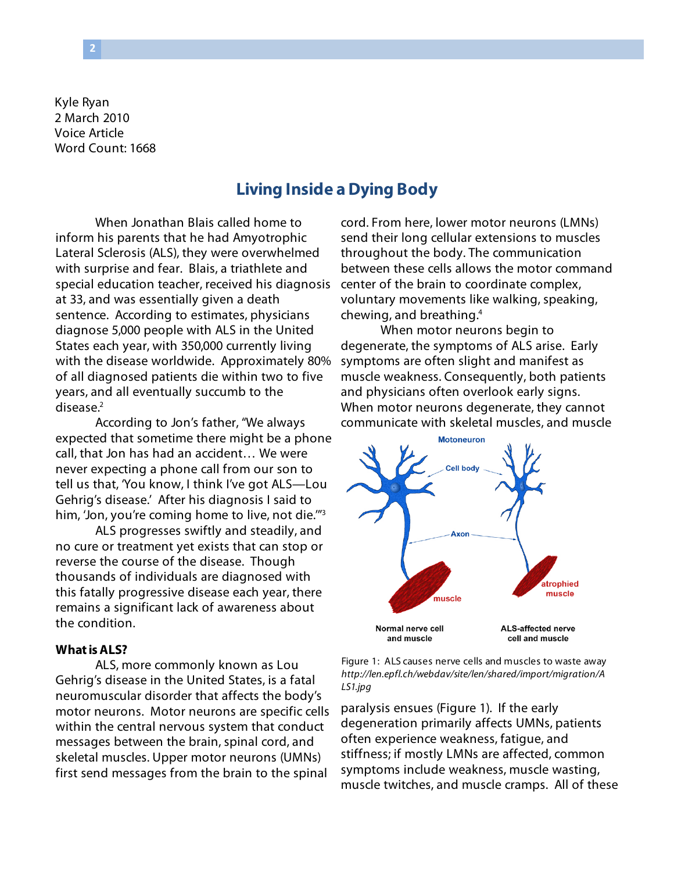Kyle Ryan 2 March 2010 Voice Article Word Count: 1668

# **Living Inside a Dying Body**

When Jonathan Blais called home to inform his parents that he had Amyotrophic Lateral Sclerosis (ALS), they were overwhelmed with surprise and fear. Blais, a triathlete and special education teacher, received his diagnosis at 33, and was essentially given a death sentence. According to estimates, physicians diagnose 5,000 people with ALS in the United States each year, with 350,000 currently living with the disease worldwide. Approximately 80% of all diagnosed patients die within two to five years, and all eventually succumb to the disease.<sup>2</sup>

According to Jon's father, "We always expected that sometime there might be a phone call, that Jon has had an accident… We were never expecting a phone call from our son to tell us that, 'You know, I think I've got ALS—Lou Gehrig's disease.' After his diagnosis I said to him, 'Jon, you're coming home to live, not die."<sup>3</sup>

ALS progresses swiftly and steadily, and no cure or treatment yet exists that can stop or reverse the course of the disease. Though thousands of individuals are diagnosed with this fatally progressive disease each year, there remains a significant lack of awareness about the condition.

### **What is ALS?**

ALS, more commonly known as Lou Gehrig's disease in the United States, is a fatal neuromuscular disorder that affects the body's motor neurons. Motor neurons are specific cells within the central nervous system that conduct messages between the brain, spinal cord, and skeletal muscles. Upper motor neurons (UMNs) first send messages from the brain to the spinal

cord. From here, lower motor neurons (LMNs) send their long cellular extensions to muscles throughout the body. The communication between these cells allows the motor command center of the brain to coordinate complex, voluntary movements like walking, speaking, chewing, and breathing.4

When motor neurons begin to degenerate, the symptoms of ALS arise. Early symptoms are often slight and manifest as muscle weakness. Consequently, both patients and physicians often overlook early signs. When motor neurons degenerate, they cannot communicate with skeletal muscles, and muscle



Figure 1: ALS causes nerve cells and muscles to waste away *http://len.epfl.ch/webdav/site/len/shared/import/migration/A LS1.jpg*

paralysis ensues (Figure 1). If the early degeneration primarily affects UMNs, patients often experience weakness, fatigue, and stiffness; if mostly LMNs are affected, common symptoms include weakness, muscle wasting, muscle twitches, and muscle cramps. All of these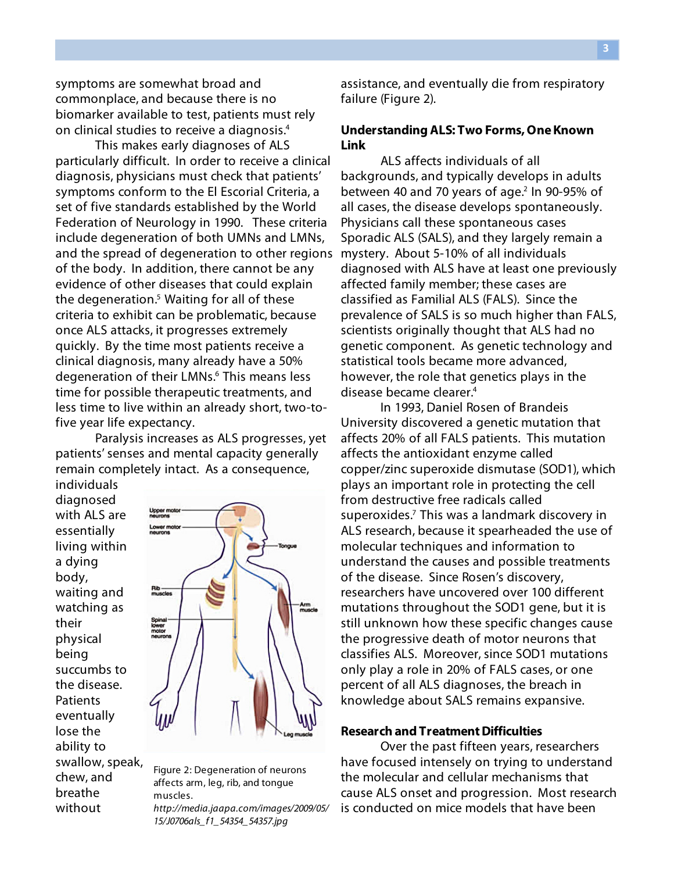symptoms are somewhat broad and commonplace, and because there is no biomarker available to test, patients must rely on clinical studies to receive a diagnosis.4

This makes early diagnoses of ALS particularly difficult. In order to receive a clinical diagnosis, physicians must check that patients' symptoms conform to the El Escorial Criteria, a set of five standards established by the World Federation of Neurology in 1990. These criteria include degeneration of both UMNs and LMNs, and the spread of degeneration to other regions of the body. In addition, there cannot be any evidence of other diseases that could explain the degeneration.<sup>5</sup> Waiting for all of these criteria to exhibit can be problematic, because once ALS attacks, it progresses extremely quickly. By the time most patients receive a clinical diagnosis, many already have a 50% degeneration of their LMNs.<sup>6</sup> This means less time for possible therapeutic treatments, and less time to live within an already short, two-tofive year life expectancy.

Paralysis increases as ALS progresses, yet patients' senses and mental capacity generally remain completely intact. As a consequence, individuals

diagnosed with ALS are essentially living within a dying body, waiting and watching as their physical being succumbs to the disease. **Patients** eventually lose the ability to swallow, speak, chew, and breathe without



Figure 2: Degeneration of neurons affects arm, leg, rib, and tongue muscles. *http://media.jaapa.com/images/2009/05/ 15/J0706als\_f1\_54354\_54357.jpg*

assistance, and eventually die from respiratory failure (Figure 2).

# **Understanding ALS: Two Forms, One Known Link**

ALS affects individuals of all backgrounds, and typically develops in adults between 40 and 70 years of age.<sup>2</sup> In 90-95% of all cases, the disease develops spontaneously. Physicians call these spontaneous cases Sporadic ALS (SALS), and they largely remain a mystery. About 5-10% of all individuals diagnosed with ALS have at least one previously affected family member; these cases are classified as Familial ALS (FALS). Since the prevalence of SALS is so much higher than FALS, scientists originally thought that ALS had no genetic component. As genetic technology and statistical tools became more advanced, however, the role that genetics plays in the disease became clearer.4

In 1993, Daniel Rosen of Brandeis University discovered a genetic mutation that affects 20% of all FALS patients. This mutation affects the antioxidant enzyme called copper/zinc superoxide dismutase (SOD1), which plays an important role in protecting the cell from destructive free radicals called superoxides.<sup>7</sup> This was a landmark discovery in ALS research, because it spearheaded the use of molecular techniques and information to understand the causes and possible treatments of the disease. Since Rosen's discovery, researchers have uncovered over 100 different mutations throughout the SOD1 gene, but it is still unknown how these specific changes cause the progressive death of motor neurons that classifies ALS. Moreover, since SOD1 mutations only play a role in 20% of FALS cases, or one percent of all ALS diagnoses, the breach in knowledge about SALS remains expansive.

### **Research and Treatment Difficulties**

Over the past fifteen years, researchers have focused intensely on trying to understand the molecular and cellular mechanisms that cause ALS onset and progression. Most research is conducted on mice models that have been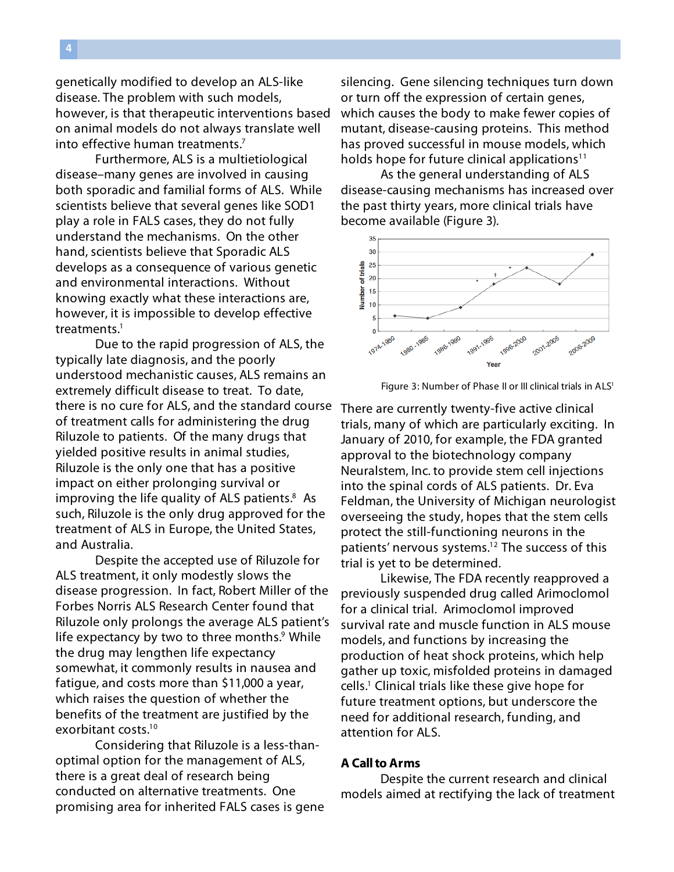genetically modified to develop an ALS-like disease. The problem with such models, however, is that therapeutic interventions based on animal models do not always translate well into effective human treatments.7

Furthermore, ALS is a multietiological disease–many genes are involved in causing both sporadic and familial forms of ALS. While scientists believe that several genes like SOD1 play a role in FALS cases, they do not fully understand the mechanisms. On the other hand, scientists believe that Sporadic ALS develops as a consequence of various genetic and environmental interactions. Without knowing exactly what these interactions are, however, it is impossible to develop effective treatments.<sup>1</sup>

Due to the rapid progression of ALS, the typically late diagnosis, and the poorly understood mechanistic causes, ALS remains an extremely difficult disease to treat. To date, there is no cure for ALS, and the standard course of treatment calls for administering the drug Riluzole to patients. Of the many drugs that yielded positive results in animal studies, Riluzole is the only one that has a positive impact on either prolonging survival or improving the life quality of ALS patients.<sup>8</sup> As such, Riluzole is the only drug approved for the treatment of ALS in Europe, the United States, and Australia.

Despite the accepted use of Riluzole for ALS treatment, it only modestly slows the disease progression. In fact, Robert Miller of the Forbes Norris ALS Research Center found that Riluzole only prolongs the average ALS patient's life expectancy by two to three months.<sup>9</sup> While the drug may lengthen life expectancy somewhat, it commonly results in nausea and fatigue, and costs more than \$11,000 a year, which raises the question of whether the benefits of the treatment are justified by the exorbitant costs.10

Considering that Riluzole is a less-thanoptimal option for the management of ALS, there is a great deal of research being conducted on alternative treatments. One promising area for inherited FALS cases is gene

silencing. Gene silencing techniques turn down or turn off the expression of certain genes, which causes the body to make fewer copies of mutant, disease-causing proteins. This method has proved successful in mouse models, which holds hope for future clinical applications<sup>11</sup>

As the general understanding of ALS disease-causing mechanisms has increased over the past thirty years, more clinical trials have become available (Figure 3).



Figure 3: Number of Phase II or III clinical trials in ALS<sup>1</sup>

There are currently twenty-five active clinical trials, many of which are particularly exciting. In January of 2010, for example, the FDA granted approval to the biotechnology company Neuralstem, Inc. to provide stem cell injections into the spinal cords of ALS patients. Dr. Eva Feldman, the University of Michigan neurologist overseeing the study, hopes that the stem cells protect the still-functioning neurons in the patients' nervous systems.<sup>12</sup> The success of this trial is yet to be determined.

Likewise, The FDA recently reapproved a previously suspended drug called Arimoclomol for a clinical trial. Arimoclomol improved survival rate and muscle function in ALS mouse models, and functions by increasing the production of heat shock proteins, which help gather up toxic, misfolded proteins in damaged cells.1 Clinical trials like these give hope for future treatment options, but underscore the need for additional research, funding, and attention for ALS.

## **A Call to Arms**

Despite the current research and clinical models aimed at rectifying the lack of treatment